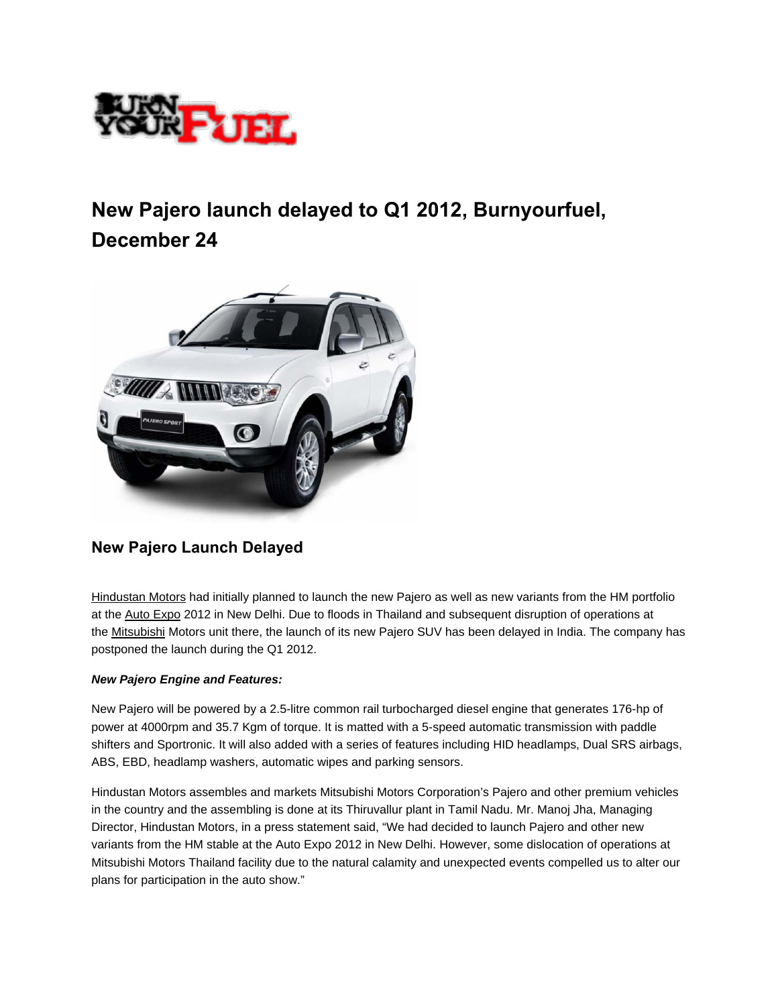

## **New Pajero launch delayed to Q1 2012, Burnyourfuel, December 24**



## **New Pajero Launch Delayed**

[Hindustan Motors](http://www.burnyourfuel.com/cars/hindustanmotors/) had initially planned to launch the new Pajero as well as new variants from the HM portfolio at the [Auto Expo](http://www.burnyourfuel.com/motor-shows/) 2012 in New Delhi. Due to floods in Thailand and subsequent disruption of operations at the [Mitsubishi](http://www.burnyourfuel.com/cars/mitsubishi/) Motors unit there, the launch of its new Pajero SUV has been delayed in India. The company has postponed the launch during the Q1 2012.

## *New Pajero Engine and Features:*

New Pajero will be powered by a 2.5-litre common rail turbocharged diesel engine that generates 176-hp of power at 4000rpm and 35.7 Kgm of torque. It is matted with a 5-speed automatic transmission with paddle shifters and Sportronic. It will also added with a series of features including HID headlamps, Dual SRS airbags, ABS, EBD, headlamp washers, automatic wipes and parking sensors.

Hindustan Motors assembles and markets Mitsubishi Motors Corporation's Pajero and other premium vehicles in the country and the assembling is done at its Thiruvallur plant in Tamil Nadu. Mr. Manoj Jha, Managing Director, Hindustan Motors, in a press statement said, "We had decided to launch Pajero and other new variants from the HM stable at the Auto Expo 2012 in New Delhi. However, some dislocation of operations at Mitsubishi Motors Thailand facility due to the natural calamity and unexpected events compelled us to alter our plans for participation in the auto show."